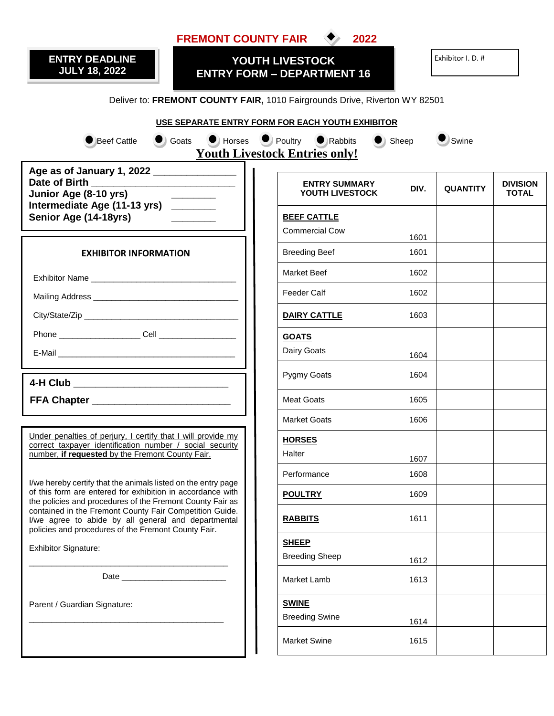| <b>FREMONT COUNTY FAIR</b><br>2022                                                                                                                                           |                                             |      |                 |                                 |  |  |  |  |  |  |  |  |
|------------------------------------------------------------------------------------------------------------------------------------------------------------------------------|---------------------------------------------|------|-----------------|---------------------------------|--|--|--|--|--|--|--|--|
| <b>ENTRY DEADLINE</b><br>YOUTH LIVESTOCK<br><b>JULY 18, 2022</b><br><b>ENTRY FORM - DEPARTMENT 16</b>                                                                        | Exhibitor I. D. #                           |      |                 |                                 |  |  |  |  |  |  |  |  |
| Deliver to: FREMONT COUNTY FAIR, 1010 Fairgrounds Drive, Riverton WY 82501                                                                                                   |                                             |      |                 |                                 |  |  |  |  |  |  |  |  |
| USE SEPARATE ENTRY FORM FOR EACH YOUTH EXHIBITOR                                                                                                                             |                                             |      |                 |                                 |  |  |  |  |  |  |  |  |
| C Goats C Horses Poultry C Rabbits C Sheep<br>Swine<br><b>Beef Cattle</b><br><b>Youth Livestock Entries only!</b>                                                            |                                             |      |                 |                                 |  |  |  |  |  |  |  |  |
| Age as of January 1, 2022 ________________<br>Junior Age (8-10 yrs)                                                                                                          | <b>ENTRY SUMMARY</b><br>YOUTH LIVESTOCK     | DIV. | <b>QUANTITY</b> | <b>DIVISION</b><br><b>TOTAL</b> |  |  |  |  |  |  |  |  |
| Intermediate Age (11-13 yrs) _______<br>Senior Age (14-18yrs)                                                                                                                | <b>BEEF CATTLE</b><br><b>Commercial Cow</b> | 1601 |                 |                                 |  |  |  |  |  |  |  |  |
| <b>EXHIBITOR INFORMATION</b>                                                                                                                                                 | <b>Breeding Beef</b>                        | 1601 |                 |                                 |  |  |  |  |  |  |  |  |
|                                                                                                                                                                              | Market Beef                                 | 1602 |                 |                                 |  |  |  |  |  |  |  |  |
|                                                                                                                                                                              | <b>Feeder Calf</b>                          | 1602 |                 |                                 |  |  |  |  |  |  |  |  |
|                                                                                                                                                                              | <b>DAIRY CATTLE</b>                         | 1603 |                 |                                 |  |  |  |  |  |  |  |  |
| Phone Cell Cell <b>Cell Cell Cell Cell Cell Cell Cell Cell CELL</b>                                                                                                          | <b>GOATS</b>                                |      |                 |                                 |  |  |  |  |  |  |  |  |
|                                                                                                                                                                              | Dairy Goats                                 | 1604 |                 |                                 |  |  |  |  |  |  |  |  |
| 4-H Club ______________________________                                                                                                                                      | Pygmy Goats                                 | 1604 |                 |                                 |  |  |  |  |  |  |  |  |
| FFA Chapter _____________________________                                                                                                                                    | <b>Meat Goats</b>                           | 1605 |                 |                                 |  |  |  |  |  |  |  |  |
|                                                                                                                                                                              | <b>Market Goats</b>                         | 1606 |                 |                                 |  |  |  |  |  |  |  |  |
| Under penalties of perjury, I certify that I will provide my<br>correct taxpayer identification number / social security<br>number, if requested by the Fremont County Fair. | <b>HORSES</b><br>Halter                     | 1607 |                 |                                 |  |  |  |  |  |  |  |  |
| I/we hereby certify that the animals listed on the entry page                                                                                                                | Performance                                 | 1608 |                 |                                 |  |  |  |  |  |  |  |  |
| of this form are entered for exhibition in accordance with<br>the policies and procedures of the Fremont County Fair as                                                      | <b>POULTRY</b>                              | 1609 |                 |                                 |  |  |  |  |  |  |  |  |
| contained in the Fremont County Fair Competition Guide.<br>I/we agree to abide by all general and departmental<br>policies and procedures of the Fremont County Fair.        | <b>RABBITS</b>                              | 1611 |                 |                                 |  |  |  |  |  |  |  |  |
| <b>Exhibitor Signature:</b>                                                                                                                                                  | <b>SHEEP</b>                                |      |                 |                                 |  |  |  |  |  |  |  |  |
|                                                                                                                                                                              | <b>Breeding Sheep</b>                       | 1612 |                 |                                 |  |  |  |  |  |  |  |  |
|                                                                                                                                                                              | Market Lamb                                 | 1613 |                 |                                 |  |  |  |  |  |  |  |  |
| Parent / Guardian Signature:                                                                                                                                                 | <b>SWINE</b><br><b>Breeding Swine</b>       | 1614 |                 |                                 |  |  |  |  |  |  |  |  |
|                                                                                                                                                                              | Market Swine                                | 1615 |                 |                                 |  |  |  |  |  |  |  |  |